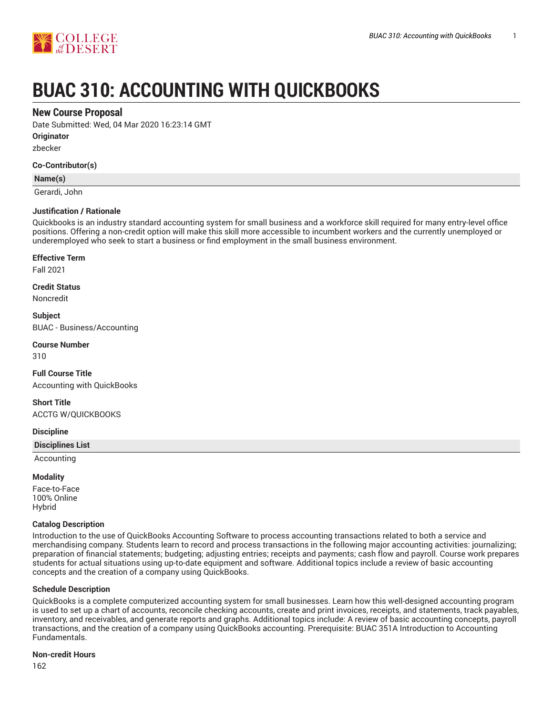

# **BUAC 310: ACCOUNTING WITH QUICKBOOKS**

# **New Course Proposal**

Date Submitted: Wed, 04 Mar 2020 16:23:14 GMT

**Originator**

zbecker

#### **Co-Contributor(s)**

#### **Name(s)**

Gerardi, John

#### **Justification / Rationale**

Quickbooks is an industry standard accounting system for small business and a workforce skill required for many entry-level office positions. Offering a non-credit option will make this skill more accessible to incumbent workers and the currently unemployed or underemployed who seek to start a business or find employment in the small business environment.

#### **Effective Term**

Fall 2021

#### **Credit Status**

Noncredit

**Subject** BUAC - Business/Accounting

# **Course Number**

310

# **Full Course Title** Accounting with QuickBooks

**Short Title** ACCTG W/QUICKBOOKS

#### **Discipline**

**Disciplines List**

Accounting

#### **Modality**

Face-to-Face 100% Online Hybrid

#### **Catalog Description**

Introduction to the use of QuickBooks Accounting Software to process accounting transactions related to both a service and merchandising company. Students learn to record and process transactions in the following major accounting activities: journalizing; preparation of financial statements; budgeting; adjusting entries; receipts and payments; cash flow and payroll. Course work prepares students for actual situations using up-to-date equipment and software. Additional topics include a review of basic accounting concepts and the creation of a company using QuickBooks.

# **Schedule Description**

QuickBooks is a complete computerized accounting system for small businesses. Learn how this well-designed accounting program is used to set up a chart of accounts, reconcile checking accounts, create and print invoices, receipts, and statements, track payables, inventory, and receivables, and generate reports and graphs. Additional topics include: A review of basic accounting concepts, payroll transactions, and the creation of a company using QuickBooks accounting. Prerequisite: BUAC 351A Introduction to Accounting Fundamentals.

#### **Non-credit Hours**

162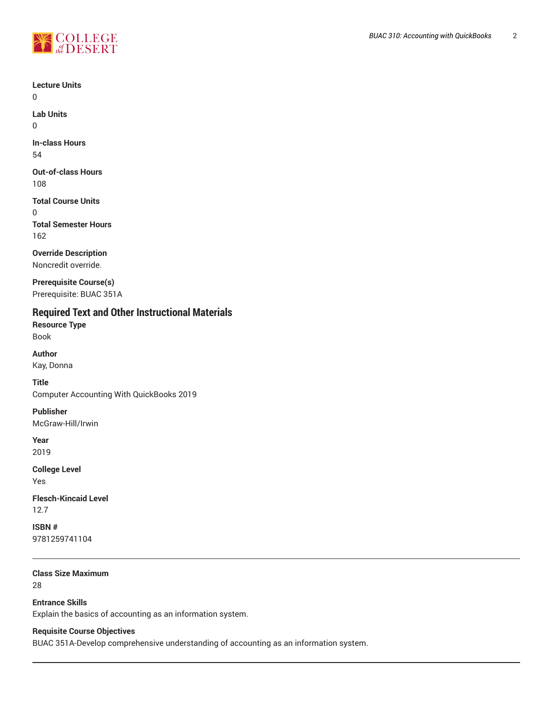

**Lecture Units**

 $\Omega$ 

**Lab Units** 0

**In-class Hours** 54

**Out-of-class Hours** 108

**Total Course Units** 0 **Total Semester Hours** 162

**Override Description** Noncredit override.

**Prerequisite Course(s)** Prerequisite: BUAC 351A

# **Required Text and Other Instructional Materials**

**Resource Type** Book

**Author** Kay, Donna

**Title** Computer Accounting With QuickBooks 2019

**Publisher** McGraw-Hill/Irwin

**Year** 2019

**College Level** Yes

**Flesch-Kincaid Level** 12.7

**ISBN #** 9781259741104

**Class Size Maximum** 28

**Entrance Skills**

Explain the basics of accounting as an information system.

**Requisite Course Objectives**

BUAC 351A-Develop comprehensive understanding of accounting as an information system.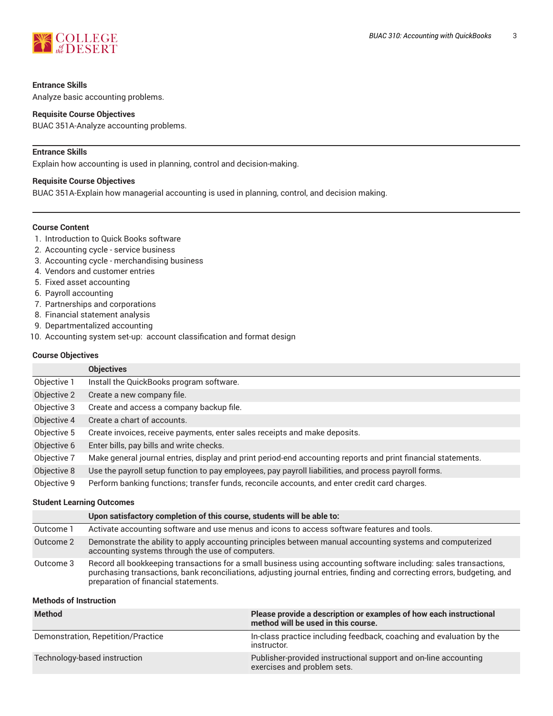

# **Entrance Skills**

Analyze basic accounting problems.

#### **Requisite Course Objectives**

BUAC 351A-Analyze accounting problems.

#### **Entrance Skills**

Explain how accounting is used in planning, control and decision-making.

#### **Requisite Course Objectives**

BUAC 351A-Explain how managerial accounting is used in planning, control, and decision making.

#### **Course Content**

- 1. Introduction to Quick Books software
- 2. Accounting cycle service business
- 3. Accounting cycle merchandising business
- 4. Vendors and customer entries
- 5. Fixed asset accounting
- 6. Payroll accounting
- 7. Partnerships and corporations
- 8. Financial statement analysis
- 9. Departmentalized accounting
- 10. Accounting system set-up: account classification and format design

#### **Course Objectives**

|             | <b>Objectives</b>                                                                                             |
|-------------|---------------------------------------------------------------------------------------------------------------|
| Objective 1 | Install the QuickBooks program software.                                                                      |
| Objective 2 | Create a new company file.                                                                                    |
| Objective 3 | Create and access a company backup file.                                                                      |
| Objective 4 | Create a chart of accounts.                                                                                   |
| Objective 5 | Create invoices, receive payments, enter sales receipts and make deposits.                                    |
| Objective 6 | Enter bills, pay bills and write checks.                                                                      |
| Objective 7 | Make general journal entries, display and print period-end accounting reports and print financial statements. |
| Objective 8 | Use the payroll setup function to pay employees, pay payroll liabilities, and process payroll forms.          |
| Objective 9 | Perform banking functions; transfer funds, reconcile accounts, and enter credit card charges.                 |

#### **Student Learning Outcomes**

|           | Upon satisfactory completion of this course, students will be able to:                                                                                                                                                                                                               |
|-----------|--------------------------------------------------------------------------------------------------------------------------------------------------------------------------------------------------------------------------------------------------------------------------------------|
| Outcome 1 | Activate accounting software and use menus and icons to access software features and tools.                                                                                                                                                                                          |
| Outcome 2 | Demonstrate the ability to apply accounting principles between manual accounting systems and computerized<br>accounting systems through the use of computers.                                                                                                                        |
| Outcome 3 | Record all bookkeeping transactions for a small business using accounting software including: sales transactions,<br>purchasing transactions, bank reconciliations, adjusting journal entries, finding and correcting errors, budgeting, and<br>preparation of financial statements. |

# **Methods of Instruction**

| <b>Method</b>                      | Please provide a description or examples of how each instructional<br>method will be used in this course. |
|------------------------------------|-----------------------------------------------------------------------------------------------------------|
| Demonstration, Repetition/Practice | In-class practice including feedback, coaching and evaluation by the<br>instructor.                       |
| Technology-based instruction       | Publisher-provided instructional support and on-line accounting<br>exercises and problem sets.            |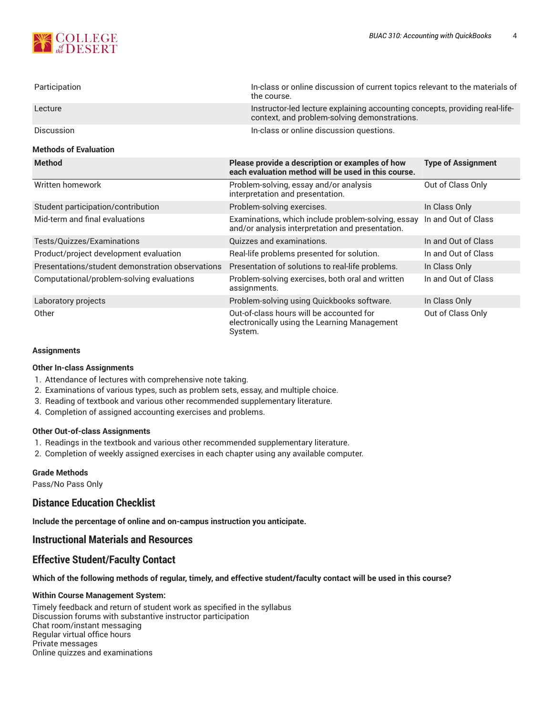

| Participation                                    | In-class or online discussion of current topics relevant to the materials of<br>the course.                                 |                           |
|--------------------------------------------------|-----------------------------------------------------------------------------------------------------------------------------|---------------------------|
| Lecture                                          | Instructor-led lecture explaining accounting concepts, providing real-life-<br>context, and problem-solving demonstrations. |                           |
| Discussion                                       | In-class or online discussion questions.                                                                                    |                           |
| <b>Methods of Evaluation</b>                     |                                                                                                                             |                           |
| <b>Method</b>                                    | Please provide a description or examples of how<br>each evaluation method will be used in this course.                      | <b>Type of Assignment</b> |
| Written homework                                 | Problem-solving, essay and/or analysis<br>interpretation and presentation.                                                  | Out of Class Only         |
| Student participation/contribution               | Problem-solving exercises.                                                                                                  | In Class Only             |
| Mid-term and final evaluations                   | Examinations, which include problem-solving, essay<br>and/or analysis interpretation and presentation.                      | In and Out of Class       |
| Tests/Quizzes/Examinations                       | Quizzes and examinations.                                                                                                   | In and Out of Class       |
| Product/project development evaluation           | Real-life problems presented for solution.                                                                                  | In and Out of Class       |
| Presentations/student demonstration observations | Presentation of solutions to real-life problems.                                                                            | In Class Only             |
| Computational/problem-solving evaluations        | Problem-solving exercises, both oral and written<br>assignments.                                                            | In and Out of Class       |
| Laboratory projects                              | Problem-solving using Quickbooks software.                                                                                  | In Class Only             |
| Other                                            | Out-of-class hours will be accounted for<br>electronically using the Learning Management<br>System.                         | Out of Class Only         |

#### **Assignments**

#### **Other In-class Assignments**

- 1. Attendance of lectures with comprehensive note taking.
- 2. Examinations of various types, such as problem sets, essay, and multiple choice.
- 3. Reading of textbook and various other recommended supplementary literature.
- 4. Completion of assigned accounting exercises and problems.

# **Other Out-of-class Assignments**

- 1. Readings in the textbook and various other recommended supplementary literature.
- 2. Completion of weekly assigned exercises in each chapter using any available computer.

# **Grade Methods**

Pass/No Pass Only

# **Distance Education Checklist**

**Include the percentage of online and on-campus instruction you anticipate.**

# **Instructional Materials and Resources**

# **Effective Student/Faculty Contact**

#### Which of the following methods of regular, timely, and effective student/faculty contact will be used in this course?

#### **Within Course Management System:**

Timely feedback and return of student work as specified in the syllabus Discussion forums with substantive instructor participation Chat room/instant messaging Regular virtual office hours Private messages Online quizzes and examinations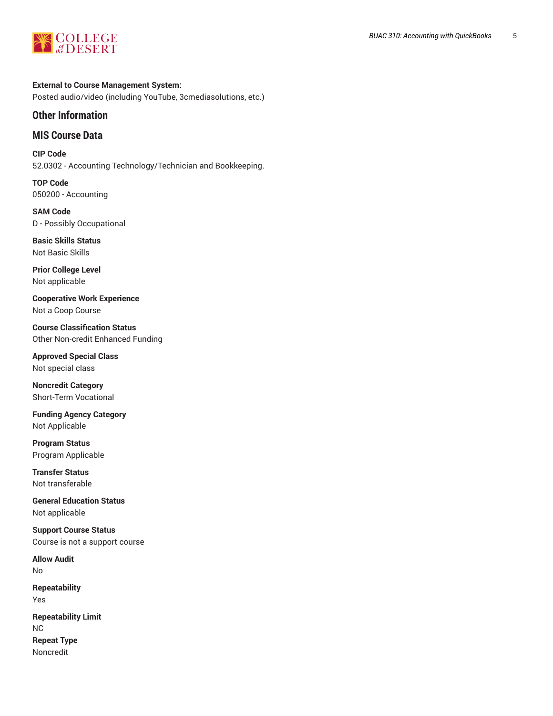

**External to Course Management System:** Posted audio/video (including YouTube, 3cmediasolutions, etc.)

# **Other Information**

# **MIS Course Data**

**CIP Code** 52.0302 - Accounting Technology/Technician and Bookkeeping.

**TOP Code** 050200 - Accounting

**SAM Code** D - Possibly Occupational

**Basic Skills Status** Not Basic Skills

**Prior College Level** Not applicable

**Cooperative Work Experience** Not a Coop Course

**Course Classification Status** Other Non-credit Enhanced Funding

**Approved Special Class** Not special class

**Noncredit Category** Short-Term Vocational

**Funding Agency Category** Not Applicable

**Program Status** Program Applicable

**Transfer Status** Not transferable

**General Education Status** Not applicable

**Support Course Status** Course is not a support course

**Allow Audit** No

**Repeatability** Yes **Repeatability Limit** NC **Repeat Type** Noncredit